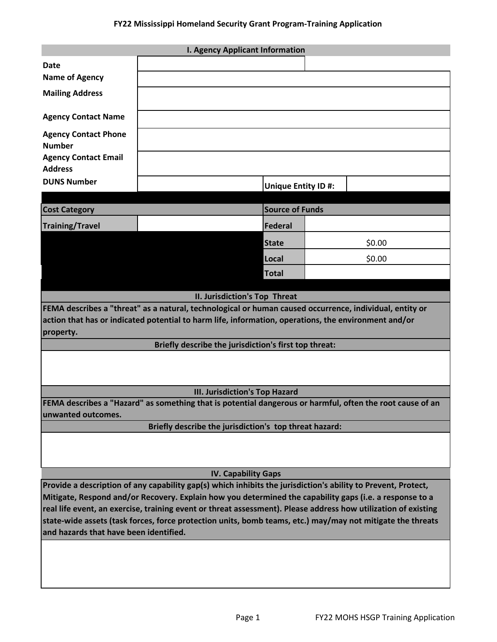| <b>I. Agency Applicant Information</b>                                                                                                                                                                                       |                                                                                                                                          |                            |        |  |
|------------------------------------------------------------------------------------------------------------------------------------------------------------------------------------------------------------------------------|------------------------------------------------------------------------------------------------------------------------------------------|----------------------------|--------|--|
| <b>Date</b>                                                                                                                                                                                                                  |                                                                                                                                          |                            |        |  |
| <b>Name of Agency</b>                                                                                                                                                                                                        |                                                                                                                                          |                            |        |  |
| <b>Mailing Address</b>                                                                                                                                                                                                       |                                                                                                                                          |                            |        |  |
| <b>Agency Contact Name</b>                                                                                                                                                                                                   |                                                                                                                                          |                            |        |  |
| <b>Agency Contact Phone</b><br><b>Number</b>                                                                                                                                                                                 |                                                                                                                                          |                            |        |  |
| <b>Agency Contact Email</b><br><b>Address</b>                                                                                                                                                                                |                                                                                                                                          |                            |        |  |
| <b>DUNS Number</b>                                                                                                                                                                                                           |                                                                                                                                          |                            |        |  |
|                                                                                                                                                                                                                              |                                                                                                                                          | <b>Unique Entity ID #:</b> |        |  |
| <b>Cost Category</b>                                                                                                                                                                                                         | <b>Source of Funds</b>                                                                                                                   |                            |        |  |
| <b>Training/Travel</b>                                                                                                                                                                                                       |                                                                                                                                          | Federal                    |        |  |
|                                                                                                                                                                                                                              |                                                                                                                                          | <b>State</b>               | \$0.00 |  |
|                                                                                                                                                                                                                              |                                                                                                                                          | Local                      | \$0.00 |  |
|                                                                                                                                                                                                                              |                                                                                                                                          | <b>Total</b>               |        |  |
|                                                                                                                                                                                                                              |                                                                                                                                          |                            |        |  |
|                                                                                                                                                                                                                              | II. Jurisdiction's Top Threat<br>FEMA describes a "threat" as a natural, technological or human caused occurrence, individual, entity or |                            |        |  |
|                                                                                                                                                                                                                              | action that has or indicated potential to harm life, information, operations, the environment and/or                                     |                            |        |  |
| property.                                                                                                                                                                                                                    |                                                                                                                                          |                            |        |  |
| Briefly describe the jurisdiction's first top threat:                                                                                                                                                                        |                                                                                                                                          |                            |        |  |
|                                                                                                                                                                                                                              |                                                                                                                                          |                            |        |  |
| III. Jurisdiction's Top Hazard                                                                                                                                                                                               |                                                                                                                                          |                            |        |  |
| FEMA describes a "Hazard" as something that is potential dangerous or harmful, often the root cause of an<br>unwanted outcomes.                                                                                              |                                                                                                                                          |                            |        |  |
|                                                                                                                                                                                                                              | Briefly describe the jurisdiction's top threat hazard:                                                                                   |                            |        |  |
|                                                                                                                                                                                                                              |                                                                                                                                          |                            |        |  |
| <b>IV. Capability Gaps</b>                                                                                                                                                                                                   |                                                                                                                                          |                            |        |  |
| Provide a description of any capability gap(s) which inhibits the jurisdiction's ability to Prevent, Protect,                                                                                                                |                                                                                                                                          |                            |        |  |
| Mitigate, Respond and/or Recovery. Explain how you determined the capability gaps (i.e. a response to a                                                                                                                      |                                                                                                                                          |                            |        |  |
| real life event, an exercise, training event or threat assessment). Please address how utilization of existing<br>state-wide assets (task forces, force protection units, bomb teams, etc.) may/may not mitigate the threats |                                                                                                                                          |                            |        |  |
| and hazards that have been identified.                                                                                                                                                                                       |                                                                                                                                          |                            |        |  |
|                                                                                                                                                                                                                              |                                                                                                                                          |                            |        |  |
|                                                                                                                                                                                                                              |                                                                                                                                          |                            |        |  |
|                                                                                                                                                                                                                              |                                                                                                                                          |                            |        |  |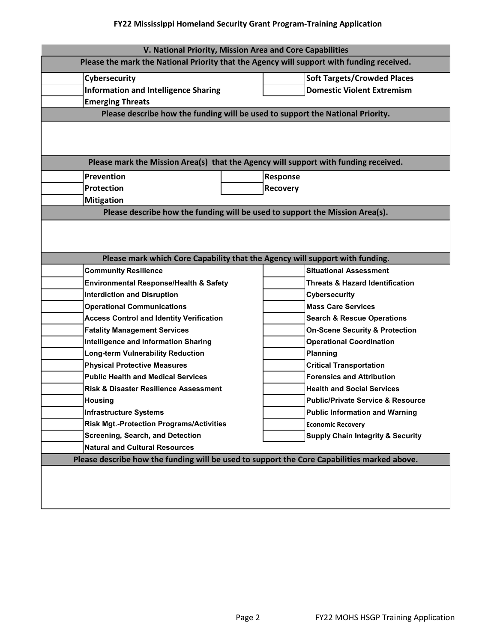## **FY22 Mississippi Homeland Security Grant Program-Training Application**

| V. National Priority, Mission Area and Core Capabilities                                  |                                                                                             |                 |                                              |  |  |  |
|-------------------------------------------------------------------------------------------|---------------------------------------------------------------------------------------------|-----------------|----------------------------------------------|--|--|--|
| Please the mark the National Priority that the Agency will support with funding received. |                                                                                             |                 |                                              |  |  |  |
| Cybersecurity                                                                             |                                                                                             |                 | <b>Soft Targets/Crowded Places</b>           |  |  |  |
| <b>Information and Intelligence Sharing</b>                                               |                                                                                             |                 | <b>Domestic Violent Extremism</b>            |  |  |  |
| <b>Emerging Threats</b>                                                                   |                                                                                             |                 |                                              |  |  |  |
|                                                                                           | Please describe how the funding will be used to support the National Priority.              |                 |                                              |  |  |  |
|                                                                                           |                                                                                             |                 |                                              |  |  |  |
|                                                                                           |                                                                                             |                 |                                              |  |  |  |
|                                                                                           | Please mark the Mission Area(s) that the Agency will support with funding received.         |                 |                                              |  |  |  |
| <b>Prevention</b>                                                                         |                                                                                             | Response        |                                              |  |  |  |
| <b>Protection</b>                                                                         |                                                                                             | <b>Recovery</b> |                                              |  |  |  |
| <b>Mitigation</b>                                                                         |                                                                                             |                 |                                              |  |  |  |
| Please describe how the funding will be used to support the Mission Area(s).              |                                                                                             |                 |                                              |  |  |  |
|                                                                                           |                                                                                             |                 |                                              |  |  |  |
|                                                                                           |                                                                                             |                 |                                              |  |  |  |
|                                                                                           |                                                                                             |                 |                                              |  |  |  |
| Please mark which Core Capability that the Agency will support with funding.              |                                                                                             |                 |                                              |  |  |  |
| <b>Community Resilience</b>                                                               |                                                                                             |                 | <b>Situational Assessment</b>                |  |  |  |
|                                                                                           | Environmental Response/Health & Safety                                                      |                 | <b>Threats &amp; Hazard Identification</b>   |  |  |  |
| <b>Interdiction and Disruption</b>                                                        |                                                                                             |                 | <b>Cybersecurity</b>                         |  |  |  |
| <b>Operational Communications</b>                                                         |                                                                                             |                 | <b>Mass Care Services</b>                    |  |  |  |
| <b>Access Control and Identity Verification</b>                                           |                                                                                             |                 | <b>Search &amp; Rescue Operations</b>        |  |  |  |
| <b>Fatality Management Services</b>                                                       |                                                                                             |                 | <b>On-Scene Security &amp; Protection</b>    |  |  |  |
| <b>Intelligence and Information Sharing</b>                                               |                                                                                             |                 | <b>Operational Coordination</b>              |  |  |  |
| Long-term Vulnerability Reduction                                                         |                                                                                             |                 | <b>Planning</b>                              |  |  |  |
| <b>Physical Protective Measures</b>                                                       |                                                                                             |                 | <b>Critical Transportation</b>               |  |  |  |
| <b>Public Health and Medical Services</b>                                                 |                                                                                             |                 | <b>Forensics and Attribution</b>             |  |  |  |
| <b>Risk &amp; Disaster Resilience Assessment</b>                                          |                                                                                             |                 | <b>Health and Social Services</b>            |  |  |  |
| <b>Housing</b>                                                                            |                                                                                             |                 | <b>Public/Private Service &amp; Resource</b> |  |  |  |
| <b>Infrastructure Systems</b>                                                             |                                                                                             |                 | <b>Public Information and Warning</b>        |  |  |  |
|                                                                                           | <b>Risk Mgt.-Protection Programs/Activities</b>                                             |                 | <b>Economic Recovery</b>                     |  |  |  |
| <b>Screening, Search, and Detection</b>                                                   |                                                                                             |                 | <b>Supply Chain Integrity &amp; Security</b> |  |  |  |
| <b>Natural and Cultural Resources</b>                                                     |                                                                                             |                 |                                              |  |  |  |
|                                                                                           | Please describe how the funding will be used to support the Core Capabilities marked above. |                 |                                              |  |  |  |
|                                                                                           |                                                                                             |                 |                                              |  |  |  |
|                                                                                           |                                                                                             |                 |                                              |  |  |  |
|                                                                                           |                                                                                             |                 |                                              |  |  |  |
|                                                                                           |                                                                                             |                 |                                              |  |  |  |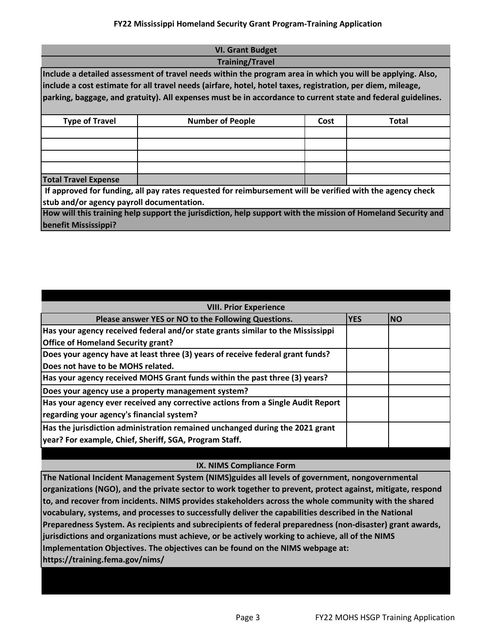## **FY22 Mississippi Homeland Security Grant Program-Training Application**

| <b>VI. Grant Budget</b>                                                                                      |                                                                                                              |      |       |  |  |
|--------------------------------------------------------------------------------------------------------------|--------------------------------------------------------------------------------------------------------------|------|-------|--|--|
| <b>Training/Travel</b>                                                                                       |                                                                                                              |      |       |  |  |
| Include a detailed assessment of travel needs within the program area in which you will be applying. Also,   |                                                                                                              |      |       |  |  |
| include a cost estimate for all travel needs (airfare, hotel, hotel taxes, registration, per diem, mileage,  |                                                                                                              |      |       |  |  |
| parking, baggage, and gratuity). All expenses must be in accordance to current state and federal guidelines. |                                                                                                              |      |       |  |  |
|                                                                                                              |                                                                                                              |      |       |  |  |
| <b>Type of Travel</b>                                                                                        | <b>Number of People</b>                                                                                      | Cost | Total |  |  |
|                                                                                                              |                                                                                                              |      |       |  |  |
|                                                                                                              |                                                                                                              |      |       |  |  |
|                                                                                                              |                                                                                                              |      |       |  |  |
|                                                                                                              |                                                                                                              |      |       |  |  |
| <b>Total Travel Expense</b>                                                                                  |                                                                                                              |      |       |  |  |
|                                                                                                              | If approved for funding, all pay rates requested for reimbursement will be verified with the agency check    |      |       |  |  |
| stub and/or agency payroll documentation.                                                                    |                                                                                                              |      |       |  |  |
|                                                                                                              | How will this training help support the jurisdiction, help support with the mission of Homeland Security and |      |       |  |  |
| benefit Mississippi?                                                                                         |                                                                                                              |      |       |  |  |

| <b>VIII. Prior Experience</b>                                                                                                          |  |           |
|----------------------------------------------------------------------------------------------------------------------------------------|--|-----------|
| Please answer YES or NO to the Following Questions.                                                                                    |  | <b>NO</b> |
| Has your agency received federal and/or state grants similar to the Mississippi<br><b>Office of Homeland Security grant?</b>           |  |           |
| Does your agency have at least three (3) years of receive federal grant funds?<br>Does not have to be MOHS related.                    |  |           |
| Has your agency received MOHS Grant funds within the past three (3) years?                                                             |  |           |
| Does your agency use a property management system?                                                                                     |  |           |
| Has your agency ever received any corrective actions from a Single Audit Report<br>regarding your agency's financial system?           |  |           |
| Has the jurisdiction administration remained unchanged during the 2021 grant<br>year? For example, Chief, Sheriff, SGA, Program Staff. |  |           |
|                                                                                                                                        |  |           |

## **IX. NIMS Compliance Form**

**The National Incident Management System (NIMS)guides all levels of government, nongovernmental organizations (NGO), and the private sector to work together to prevent, protect against, mitigate, respond to, and recover from incidents. NIMS provides stakeholders across the whole community with the shared vocabulary, systems, and processes to successfully deliver the capabilities described in the National Preparedness System. As recipients and subrecipients of federal preparedness (non-disaster) grant awards, jurisdictions and organizations must achieve, or be actively working to achieve, all of the NIMS Implementation Objectives. The objectives can be found on the NIMS webpage at: https://training.fema.gov/nims/**